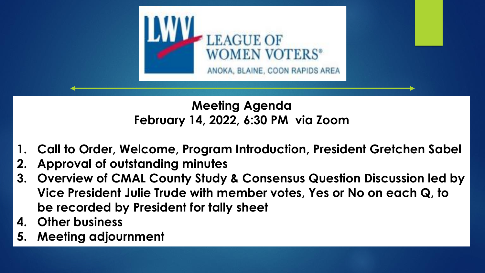

#### **Meeting Agenda February 14, 2022, 6:30 PM via Zoom**

- **1. Call to Order, Welcome, Program Introduction, President Gretchen Sabel**
- **2. Approval of outstanding minutes**
- **3. Overview of CMAL County Study & Consensus Question Discussion led by Vice President Julie Trude with member votes, Yes or No on each Q, to be recorded by President for tally sheet**
- **4. Other business**
- **5. Meeting adjournment**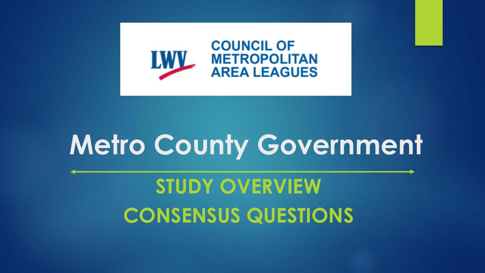

# **Metro County Government**

**STUDY OVERVIEW CONSENSUS QUESTIONS**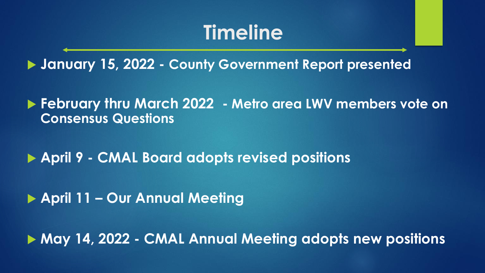# **Timeline**

**January 15, 2022 - County Government Report presented** 

 **February thru March 2022 - Metro area LWV members vote on Consensus Questions**

**April 9 - CMAL Board adopts revised positions**

**April 11 – Our Annual Meeting**

**May 14, 2022 - CMAL Annual Meeting adopts new positions**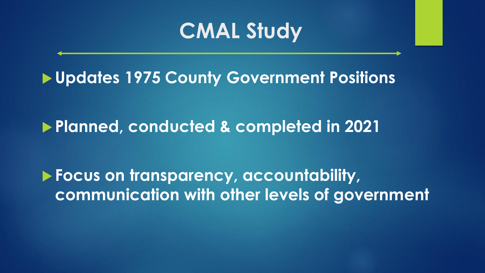# **CMAL Study**

**Updates 1975 County Government Positions**

**Planned, conducted & completed in 2021**

 **Focus on transparency, accountability, communication with other levels of government**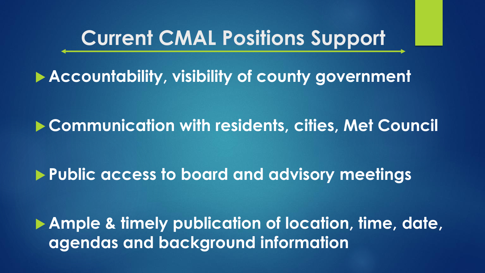# **Current CMAL Positions Support**

**Accountability, visibility of county government**

**Communication with residents, cities, Met Council**

**Public access to board and advisory meetings**

 **Ample & timely publication of location, time, date, agendas and background information**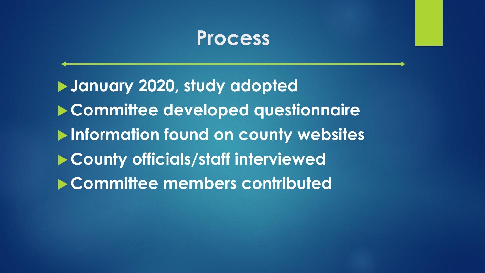## **Process**

 **January 2020, study adopted Committee developed questionnaire Information found on county websites County officials/staff interviewed Committee members contributed**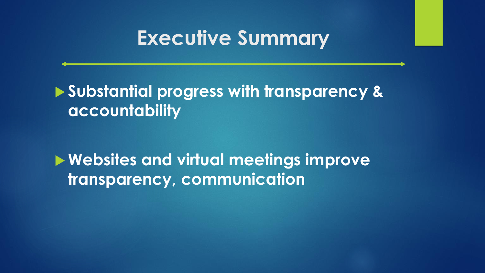# **Executive Summary**

 **Substantial progress with transparency & accountability**

**Websites and virtual meetings improve transparency, communication**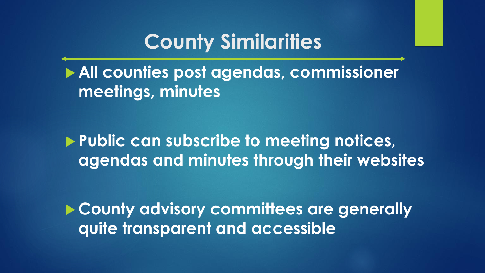# **County Similarities**

 **All counties post agendas, commissioner meetings, minutes** 

 **Public can subscribe to meeting notices, agendas and minutes through their websites**

 **County advisory committees are generally quite transparent and accessible**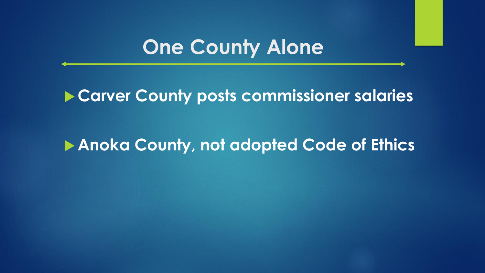# **One County Alone**

#### **Carver County posts commissioner salaries**

#### **Anoka County, not adopted Code of Ethics**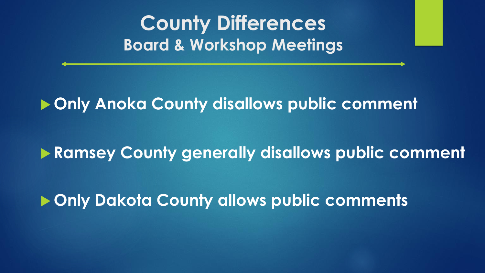**County Differences Board & Workshop Meetings**

**Only Anoka County disallows public comment**

**Ramsey County generally disallows public comment**

**Only Dakota County allows public comments**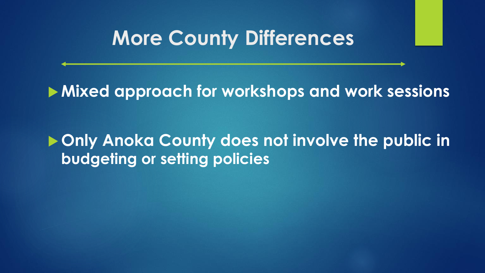## **More County Differences**

#### **Mixed approach for workshops and work sessions**

#### $\triangleright$  **Only Anoka County does not involve the public in budgeting or setting policies**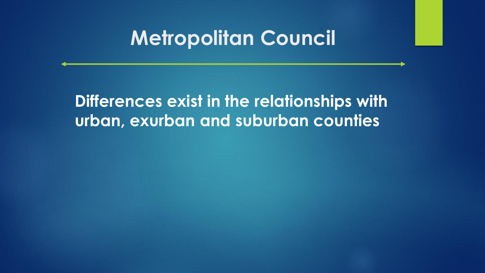# **Metropolitan Council**

**Differences exist in the relationships with urban, exurban and suburban counties**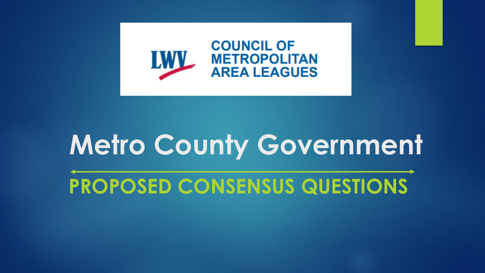

# **Metro County Government**

**PROPOSED CONSENSUS QUESTIONS**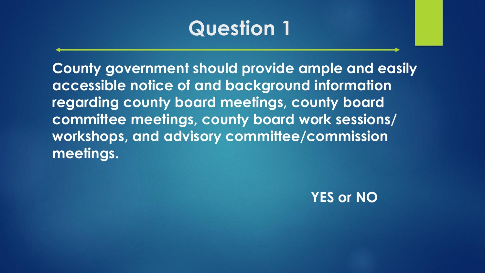**County government should provide ample and easily accessible notice of and background information regarding county board meetings, county board committee meetings, county board work sessions/ workshops, and advisory committee/commission meetings.** 

#### **YES or NO**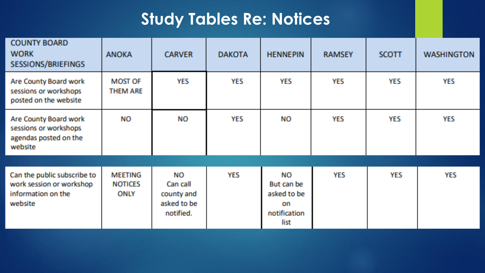## **Study Tables Re: Notices**

| <b>COUNTY BOARD</b><br><b>WORK</b><br><b>SESSIONS/BRIEFINGS</b>                          | <b>ANOKA</b>                                    | <b>CARVER</b>                                            | <b>DAKOTA</b> | <b>HENNEPIN</b>                                               | <b>RAMSEY</b> | <b>SCOTT</b> | <b>WASHINGTON</b> |
|------------------------------------------------------------------------------------------|-------------------------------------------------|----------------------------------------------------------|---------------|---------------------------------------------------------------|---------------|--------------|-------------------|
| Are County Board work<br>sessions or workshops<br>posted on the website                  | <b>MOST OF</b><br><b>THEM ARE</b>               | <b>YES</b>                                               | <b>YES</b>    | <b>YES</b>                                                    | <b>YES</b>    | <b>YES</b>   | <b>YES</b>        |
| Are County Board work<br>sessions or workshops<br>agendas posted on the<br>website       | <b>NO</b>                                       | NO                                                       | <b>YES</b>    | ΝO                                                            | <b>YES</b>    | <b>YES</b>   | <b>YES</b>        |
| Can the public subscribe to<br>work session or workshop<br>information on the<br>website | <b>MEETING</b><br><b>NOTICES</b><br><b>ONLY</b> | NO<br>Can call<br>county and<br>asked to be<br>notified. | <b>YES</b>    | ΝO<br>But can be<br>asked to be<br>on<br>notification<br>list | <b>YES</b>    | <b>YES</b>   | <b>YES</b>        |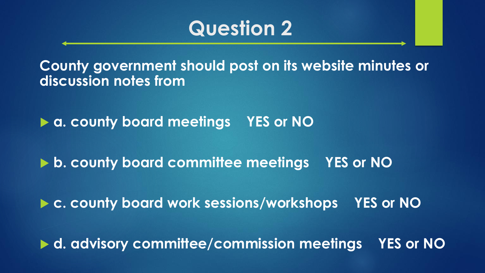**County government should post on its website minutes or discussion notes from**

**▶ a. county board meetings YES or NO** 

▶ b. county board committee meetings YES or NO

▶ c. county board work sessions/workshops YES or NO

▶ d. advisory committee/commission meetings YES or NO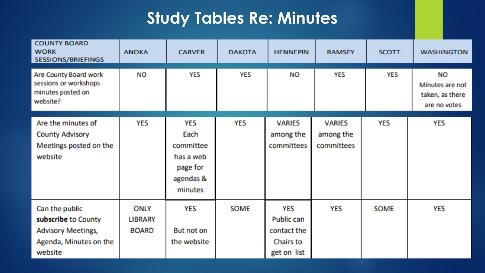## **Study Tables Re: Minutes**

| <b>COUNTY BOARD</b><br><b>WORK</b><br><b>SESSIONS/BRIEFINGS</b>                                         | <b>ANOKA</b>                           | <b>CARVER</b>                                                                    | <b>DAKOTA</b> | <b>HENNEPIN</b>                                                     | <b>RAMSEY</b>                            | <b>SCOTT</b> | <b>WASHINGTON</b>                                               |
|---------------------------------------------------------------------------------------------------------|----------------------------------------|----------------------------------------------------------------------------------|---------------|---------------------------------------------------------------------|------------------------------------------|--------------|-----------------------------------------------------------------|
| Are County Board work<br>sessions or workshops<br>minutes posted on<br>website?                         | <b>NO</b>                              | <b>YES</b>                                                                       | <b>YES</b>    | <b>NO</b>                                                           | <b>YES</b>                               | YES          | <b>NO</b><br>Minutes are not<br>taken, as there<br>are no votes |
| Are the minutes of<br><b>County Advisory</b><br>Meetings posted on the<br>website                       | <b>YES</b>                             | <b>YES</b><br>Each<br>committee<br>has a web<br>page for<br>agendas &<br>minutes | <b>YES</b>    | <b>VARIES</b><br>among the<br>committees                            | <b>VARIES</b><br>among the<br>committees | <b>YES</b>   | <b>YES</b>                                                      |
| Can the public<br>subscribe to County<br><b>Advisory Meetings,</b><br>Agenda, Minutes on the<br>website | ONLY<br><b>LIBRARY</b><br><b>BOARD</b> | <b>YES</b><br>But not on<br>the website                                          | <b>SOME</b>   | <b>YES</b><br>Public can<br>contact the<br>Chairs to<br>get on list | <b>YES</b>                               | <b>SOME</b>  | <b>YES</b>                                                      |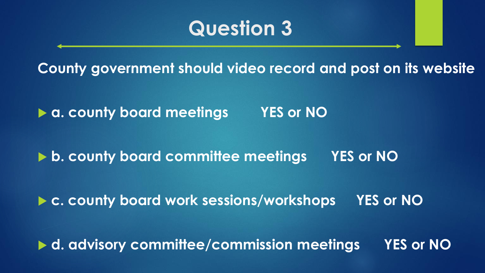**County government should video record and post on its website**

▶ a. county board meetings YES or NO

▶ **b. county board committee meetings** YES or NO

▶ c. county board work sessions/workshops YES or NO

▶ d. advisory committee/commission meetings YES or NO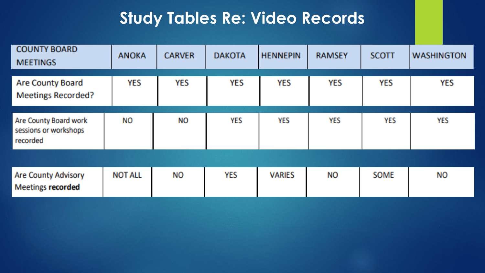#### **Study Tables Re: Video Records**

| <b>COUNTY BOARD</b><br><b>MEETINGS</b>                     | <b>ANOKA</b>   | <b>CARVER</b> | <b>DAKOTA</b> | <b>HENNEPIN</b> | <b>RAMSEY</b> | <b>SCOTT</b> | <b>WASHINGTON</b> |
|------------------------------------------------------------|----------------|---------------|---------------|-----------------|---------------|--------------|-------------------|
| <b>Are County Board</b><br><b>Meetings Recorded?</b>       | <b>YES</b>     | <b>YES</b>    | <b>YES</b>    | <b>YES</b>      | <b>YES</b>    | <b>YES</b>   | <b>YES</b>        |
| Are County Board work<br>sessions or workshops<br>recorded | <b>NO</b>      | <b>NO</b>     | <b>YES</b>    | <b>YES</b>      | <b>YES</b>    | <b>YES</b>   | <b>YES</b>        |
|                                                            |                |               |               |                 |               |              |                   |
| <b>Are County Advisory</b><br><b>Meetings recorded</b>     | <b>NOT ALL</b> | ΝO            | <b>YES</b>    | <b>VARIES</b>   | <b>NO</b>     | <b>SOME</b>  | NO.               |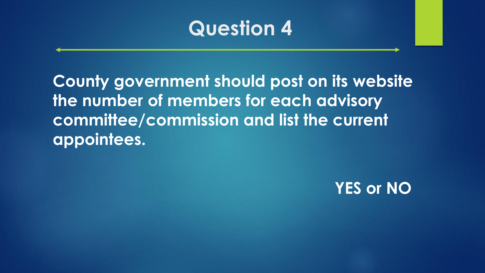**County government should post on its website the number of members for each advisory committee/commission and list the current appointees.**

## **YES or NO**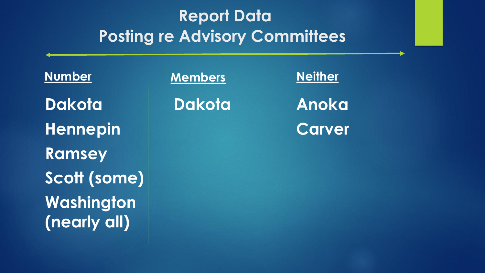## **Report Data Posting re Advisory Committees**

**Number Dakota Hennepin Ramsey Scott (some) Washington (nearly all)**

**Members**

**Dakota**

**Neither** 

**Anoka Carver**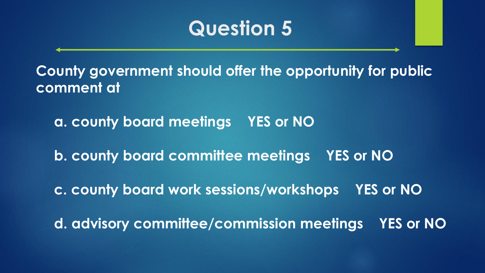**County government should offer the opportunity for public comment at**

**a. county board meetings YES or NO**

**b. county board committee meetings YES or NO**

**c. county board work sessions/workshops YES or NO**

**d. advisory committee/commission meetings YES or NO**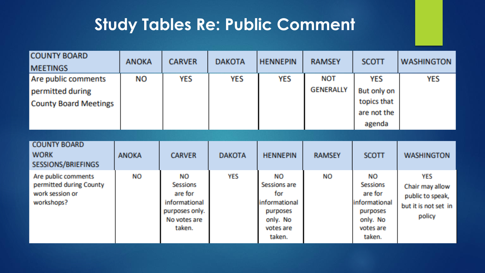## **Study Tables Re: Public Comment**

| <b>COUNTY BOARD</b><br><b>MEETINGS</b>                                          | <b>ANOKA</b> | <b>CARVER</b>                                                                                 | <b>DAKOTA</b> | <b>HENNEPIN</b>                                                                                  | <b>RAMSEY</b>           | <b>SCOTT</b>                                                                                     | <b>WASHINGTON</b>                                                                   |
|---------------------------------------------------------------------------------|--------------|-----------------------------------------------------------------------------------------------|---------------|--------------------------------------------------------------------------------------------------|-------------------------|--------------------------------------------------------------------------------------------------|-------------------------------------------------------------------------------------|
| Are public comments<br>permitted during<br><b>County Board Meetings</b>         | NO.          | <b>YES</b>                                                                                    | <b>YES</b>    | <b>YES</b>                                                                                       | NOT<br><b>GENERALLY</b> | <b>YES</b><br>But only on<br>topics that<br>are not the<br>agenda                                | <b>YES</b>                                                                          |
|                                                                                 |              |                                                                                               |               |                                                                                                  |                         |                                                                                                  |                                                                                     |
| <b>COUNTY BOARD</b><br><b>WORK</b><br>SESSIONS/BRIEFINGS                        | <b>ANOKA</b> | <b>CARVER</b>                                                                                 | <b>DAKOTA</b> | <b>HENNEPIN</b>                                                                                  | <b>RAMSEY</b>           | <b>SCOTT</b>                                                                                     | <b>WASHINGTON</b>                                                                   |
| Are public comments<br>permitted during County<br>work session or<br>workshops? | <b>NO</b>    | <b>NO</b><br>Sessions<br>are for<br>informational<br>purposes only.<br>No votes are<br>taken. | <b>YES</b>    | <b>NO</b><br>Sessions are<br>for<br>informational<br>purposes<br>only. No<br>votes are<br>taken. | ΝO                      | NO<br><b>Sessions</b><br>are for<br>informational<br>purposes<br>only. No<br>votes are<br>taken. | <b>YES</b><br>Chair may allow<br>public to speak,<br>but it is not set in<br>policy |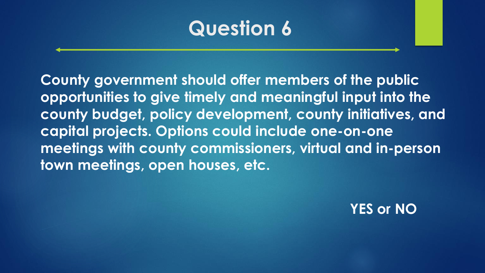**County government should offer members of the public opportunities to give timely and meaningful input into the county budget, policy development, county initiatives, and capital projects. Options could include one-on-one meetings with county commissioners, virtual and in-person town meetings, open houses, etc.** 

**YES or NO**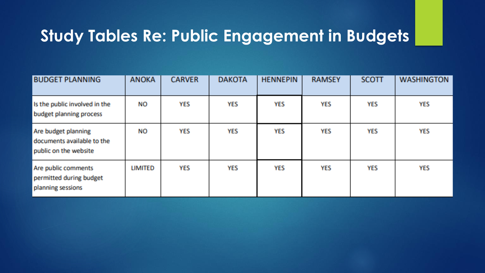## **Study Tables Re: Public Engagement in Budgets**

| <b>BUDGET PLANNING</b>                                                     | <b>ANOKA</b>   | <b>CARVER</b> | <b>DAKOTA</b> | <b>HENNEPIN</b> | <b>RAMSEY</b> | <b>SCOTT</b> | <b>WASHINGTON</b> |
|----------------------------------------------------------------------------|----------------|---------------|---------------|-----------------|---------------|--------------|-------------------|
| Is the public involved in the<br>budget planning process                   | ΝO             | <b>YES</b>    | <b>YES</b>    | <b>YES</b>      | YES           | YES          | <b>YES</b>        |
| Are budget planning<br>documents available to the<br>public on the website | NO             | <b>YES</b>    | <b>YES</b>    | <b>YES</b>      | <b>YES</b>    | <b>YES</b>   | <b>YES</b>        |
| Are public comments<br>permitted during budget<br>planning sessions        | <b>LIMITED</b> | YES           | <b>YES</b>    | YES             | YES           | <b>YES</b>   | <b>YES</b>        |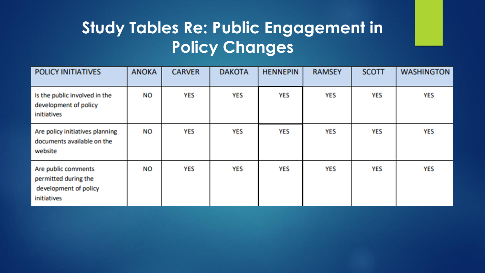## **Study Tables Re: Public Engagement in Policy Changes**

| <b>POLICY INITIATIVES</b>                                                           | <b>ANOKA</b> | <b>CARVER</b> | <b>DAKOTA</b> | <b>HENNEPIN</b> | <b>RAMSEY</b> | <b>SCOTT</b> | <b>WASHINGTON</b> |
|-------------------------------------------------------------------------------------|--------------|---------------|---------------|-----------------|---------------|--------------|-------------------|
| Is the public involved in the<br>development of policy<br>initiatives               | ΝO           | <b>YES</b>    | <b>YES</b>    | <b>YES</b>      | <b>YES</b>    | <b>YES</b>   | <b>YES</b>        |
| Are policy initiatives planning<br>documents available on the<br>website            | <b>NO</b>    | <b>YES</b>    | <b>YES</b>    | <b>YES</b>      | <b>YES</b>    | <b>YES</b>   | <b>YES</b>        |
| Are public comments<br>permitted during the<br>development of policy<br>initiatives | ΝO           | <b>YES</b>    | <b>YES</b>    | <b>YES</b>      | <b>YES</b>    | <b>YES</b>   | <b>YES</b>        |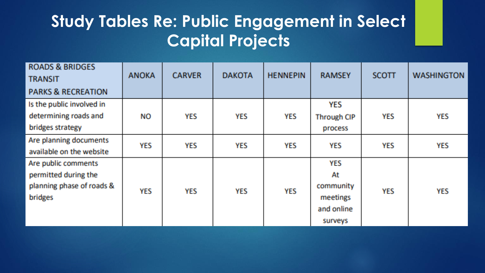## **Study Tables Re: Public Engagement in Select Capital Projects**

| <b>ROADS &amp; BRIDGES</b><br><b>TRANSIT</b> | <b>ANOKA</b> | <b>CARVER</b> | <b>DAKOTA</b> | <b>HENNEPIN</b> | <b>RAMSEY</b>      | <b>SCOTT</b> | <b>WASHINGTON</b> |
|----------------------------------------------|--------------|---------------|---------------|-----------------|--------------------|--------------|-------------------|
| <b>PARKS &amp; RECREATION</b>                |              |               |               |                 |                    |              |                   |
| Is the public involved in                    |              |               |               |                 | <b>YES</b>         |              |                   |
| determining roads and                        | NO           | <b>YES</b>    | <b>YES</b>    | <b>YES</b>      | <b>Through CIP</b> | <b>YES</b>   | <b>YES</b>        |
| bridges strategy                             |              |               |               |                 | process            |              |                   |
| Are planning documents                       | <b>YES</b>   | <b>YES</b>    | <b>YES</b>    | <b>YES</b>      | <b>YES</b>         | <b>YES</b>   | <b>YES</b>        |
| available on the website                     |              |               |               |                 |                    |              |                   |
| Are public comments                          |              |               |               |                 | <b>YES</b>         |              |                   |
| permitted during the                         |              |               |               |                 | At                 |              |                   |
| planning phase of roads &                    | <b>YES</b>   | <b>YES</b>    | <b>YES</b>    | <b>YES</b>      | community          | <b>YES</b>   | <b>YES</b>        |
| bridges                                      |              |               |               |                 | meetings           |              |                   |
|                                              |              |               |               |                 | and online         |              |                   |
|                                              |              |               |               |                 | surveys            |              |                   |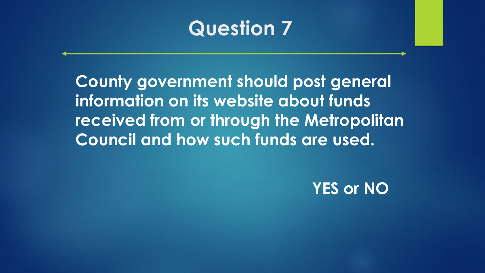**County government should post general information on its website about funds received from or through the Metropolitan Council and how such funds are used.**

#### **YES or NO**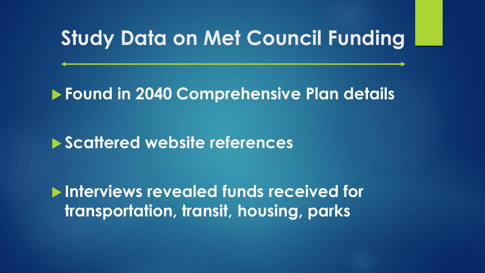# **Study Data on Met Council Funding**

#### **Found in 2040 Comprehensive Plan details**

#### **Scattered website references**

 **Interviews revealed funds received for transportation, transit, housing, parks**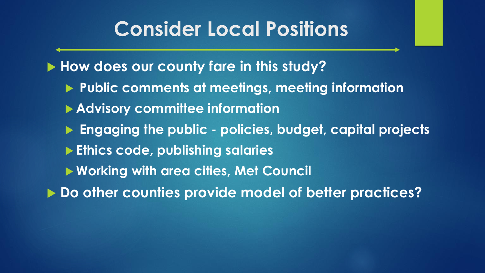# **Consider Local Positions**

**How does our county fare in this study?**

- **Public comments at meetings, meeting information**
- **Advisory committee information**
- **Engaging the public - policies, budget, capital projects**
- **Ethics code, publishing salaries**
- **Working with area cities, Met Council**
- **Do other counties provide model of better practices?**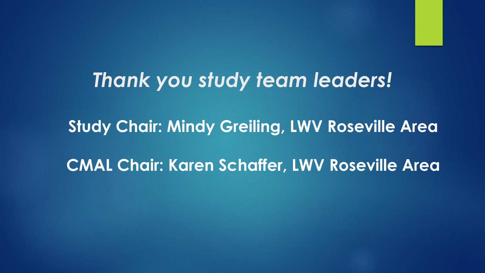# *Thank you study team leaders!*

**Study Chair: Mindy Greiling, LWV Roseville Area CMAL Chair: Karen Schaffer, LWV Roseville Area**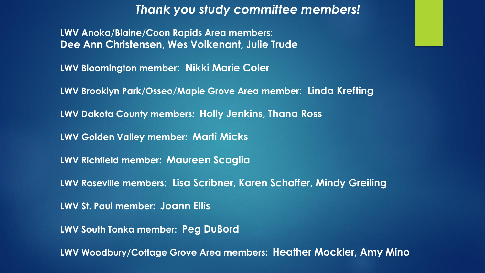#### *Thank you study committee members!*

**LWV Anoka/Blaine/Coon Rapids Area members: Dee Ann Christensen, Wes Volkenant, Julie Trude**

**LWV Bloomington member: Nikki Marie Coler**

**LWV Brooklyn Park/Osseo/Maple Grove Area member: Linda Krefting**

**LWV Dakota County members: Holly Jenkins, Thana Ross** 

**LWV Golden Valley member: Marti Micks**

**LWV Richfield member: Maureen Scaglia**

**LWV Roseville members: Lisa Scribner, Karen Schaffer, Mindy Greiling**

**LWV St. Paul member: Joann Ellis**

**LWV South Tonka member: Peg DuBord**

**LWV Woodbury/Cottage Grove Area members: Heather Mockler, Amy Mino**